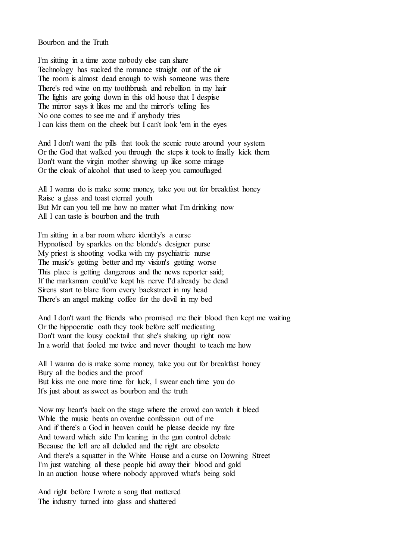Bourbon and the Truth

I'm sitting in a time zone nobody else can share Technology has sucked the romance straight out of the air The room is almost dead enough to wish someone was there There's red wine on my toothbrush and rebellion in my hair The lights are going down in this old house that I despise The mirror says it likes me and the mirror's telling lies No one comes to see me and if anybody tries I can kiss them on the cheek but I can't look 'em in the eyes

And I don't want the pills that took the scenic route around your system Or the God that walked you through the steps it took to finally kick them Don't want the virgin mother showing up like some mirage Or the cloak of alcohol that used to keep you camouflaged

All I wanna do is make some money, take you out for breakfast honey Raise a glass and toast eternal youth But Mr can you tell me how no matter what I'm drinking now All I can taste is bourbon and the truth

I'm sitting in a bar room where identity's a curse Hypnotised by sparkles on the blonde's designer purse My priest is shooting vodka with my psychiatric nurse The music's getting better and my vision's getting worse This place is getting dangerous and the news reporter said; If the marksman could've kept his nerve I'd already be dead Sirens start to blare from every backstreet in my head There's an angel making coffee for the devil in my bed

And I don't want the friends who promised me their blood then kept me waiting Or the hippocratic oath they took before self medicating Don't want the lousy cocktail that she's shaking up right now In a world that fooled me twice and never thought to teach me how

All I wanna do is make some money, take you out for breakfast honey Bury all the bodies and the proof But kiss me one more time for luck, I swear each time you do It's just about as sweet as bourbon and the truth

Now my heart's back on the stage where the crowd can watch it bleed While the music beats an overdue confession out of me And if there's a God in heaven could he please decide my fate And toward which side I'm leaning in the gun control debate Because the left are all deluded and the right are obsolete And there's a squatter in the White House and a curse on Downing Street I'm just watching all these people bid away their blood and gold In an auction house where nobody approved what's being sold

And right before I wrote a song that mattered The industry turned into glass and shattered